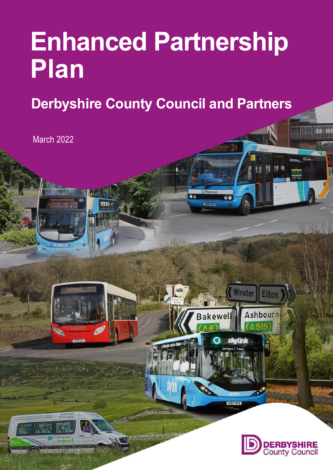# **Enhanced Partnership Plan**

**Derbyshire County Council and Partners**

€6

**Winster** 

YX67 VFA

Elton

Ashbourn

**YNDE UGU** 

**STITE** 

Bakewell

March 2022

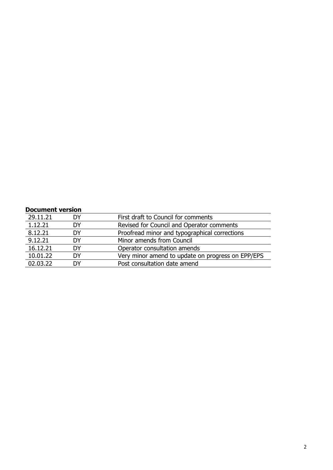#### **Document version**

| 29.11.21 | DΥ | First draft to Council for comments               |
|----------|----|---------------------------------------------------|
| 1.12.21  | DΥ | Revised for Council and Operator comments         |
| 8.12.21  | DΥ | Proofread minor and typographical corrections     |
| 9.12.21  | DΥ | Minor amends from Council                         |
| 16.12.21 | DY | Operator consultation amends                      |
| 10.01.22 | DY | Very minor amend to update on progress on EPP/EPS |
| 02.03.22 | DΥ | Post consultation date amend                      |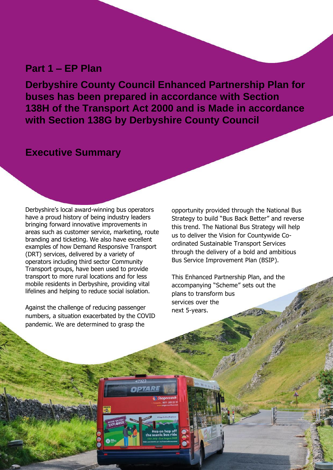### **Part 1 – EP Plan**

**Derbyshire County Council Enhanced Partnership Plan for buses has been prepared in accordance with Section 138H of the Transport Act 2000 and is Made in accordance with Section 138G by Derbyshire County Council**

## **Executive Summary**

Derbyshire's local award-winning bus operators have a proud history of being industry leaders bringing forward innovative improvements in areas such as customer service, marketing, route branding and ticketing. We also have excellent examples of how Demand Responsive Transport (DRT) services, delivered by a variety of operators including third sector Community Transport groups, have been used to provide transport to more rural locations and for less mobile residents in Derbyshire, providing vital lifelines and helping to reduce social isolation.

Against the challenge of reducing passenger numbers, a situation exacerbated by the COVID pandemic. We are determined to grasp the

прта

4

opportunity provided through the National Bus Strategy to build "Bus Back Better" and reverse this trend. The National Bus Strategy will help us to deliver the Vision for Countywide Coordinated Sustainable Transport Services through the delivery of a bold and ambitious Bus Service Improvement Plan (BSIP).

This Enhanced Partnership Plan, and the accompanying "Scheme" sets out the plans to transform bus services over the next 5-years.

3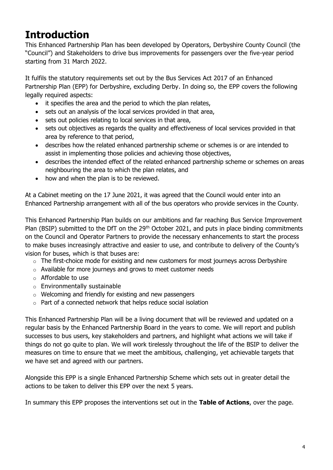## **Introduction**

This Enhanced Partnership Plan has been developed by Operators, Derbyshire County Council (the "Council") and Stakeholders to drive bus improvements for passengers over the five-year period starting from 31 March 2022.

It fulfils the statutory requirements set out by the Bus Services Act 2017 of an Enhanced Partnership Plan (EPP) for Derbyshire, excluding Derby. In doing so, the EPP covers the following legally required aspects:

- it specifies the area and the period to which the plan relates,
- sets out an analysis of the local services provided in that area,
- sets out policies relating to local services in that area,
- sets out objectives as regards the quality and effectiveness of local services provided in that area by reference to that period,
- describes how the related enhanced partnership scheme or schemes is or are intended to assist in implementing those policies and achieving those objectives,
- describes the intended effect of the related enhanced partnership scheme or schemes on areas neighbouring the area to which the plan relates, and
- how and when the plan is to be reviewed.

At a Cabinet meeting on the 17 June 2021, it was agreed that the Council would enter into an Enhanced Partnership arrangement with all of the bus operators who provide services in the County.

This Enhanced Partnership Plan builds on our ambitions and far reaching Bus Service Improvement Plan (BSIP) submitted to the DfT on the 29<sup>th</sup> October 2021, and puts in place binding commitments on the Council and Operator Partners to provide the necessary enhancements to start the process to make buses increasingly attractive and easier to use, and contribute to delivery of the County's vision for buses, which is that buses are:

- $\circ$  The first-choice mode for existing and new customers for most journeys across Derbyshire
- o Available for more journeys and grows to meet customer needs
- o Affordable to use
- o Environmentally sustainable
- o Welcoming and friendly for existing and new passengers
- o Part of a connected network that helps reduce social isolation

This Enhanced Partnership Plan will be a living document that will be reviewed and updated on a regular basis by the Enhanced Partnership Board in the years to come. We will report and publish successes to bus users, key stakeholders and partners, and highlight what actions we will take if things do not go quite to plan. We will work tirelessly throughout the life of the BSIP to deliver the measures on time to ensure that we meet the ambitious, challenging, yet achievable targets that we have set and agreed with our partners.

Alongside this EPP is a single Enhanced Partnership Scheme which sets out in greater detail the actions to be taken to deliver this EPP over the next 5 years.

In summary this EPP proposes the interventions set out in the **Table of Actions**, over the page.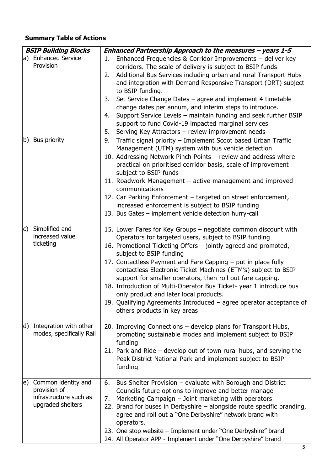## **Summary Table of Actions**

| <b>BSIP Building Blocks</b> |                                                                                    | Enhanced Partnership Approach to the measures - years 1-5                                                                                                                                                                                                                                                                                                                                                                                                                                                                                                                                                                                       |  |
|-----------------------------|------------------------------------------------------------------------------------|-------------------------------------------------------------------------------------------------------------------------------------------------------------------------------------------------------------------------------------------------------------------------------------------------------------------------------------------------------------------------------------------------------------------------------------------------------------------------------------------------------------------------------------------------------------------------------------------------------------------------------------------------|--|
|                             | a) Enhanced Service<br>Provision                                                   | Enhanced Frequencies & Corridor Improvements - deliver key<br>1.<br>corridors. The scale of delivery is subject to BSIP funds<br>Additional Bus Services including urban and rural Transport Hubs<br>2.<br>and integration with Demand Responsive Transport (DRT) subject<br>to BSIP funding.<br>Set Service Change Dates - agree and implement 4 timetable<br>3.<br>change dates per annum, and interim steps to introduce.<br>Support Service Levels - maintain funding and seek further BSIP<br>4.<br>support to fund Covid-19 impacted marginal services<br>Serving Key Attractors - review improvement needs<br>5.                         |  |
|                             | b) Bus priority                                                                    | Traffic signal priority - Implement Scoot based Urban Traffic<br>9.<br>Management (UTM) system with bus vehicle detection<br>10. Addressing Network Pinch Points – review and address where<br>practical on prioritised corridor basis, scale of improvement<br>subject to BSIP funds<br>11. Roadwork Management - active management and improved<br>communications<br>12. Car Parking Enforcement - targeted on street enforcement,<br>increased enforcement is subject to BSIP funding<br>13. Bus Gates - implement vehicle detection hurry-call                                                                                              |  |
| C)                          | Simplified and<br>increased value<br>ticketing                                     | 15. Lower Fares for Key Groups - negotiate common discount with<br>Operators for targeted users, subject to BSIP funding<br>16. Promotional Ticketing Offers - jointly agreed and promoted,<br>subject to BSIP funding<br>17. Contactless Payment and Fare Capping - put in place fully<br>contactless Electronic Ticket Machines (ETM's) subject to BSIP<br>support for smaller operators, then roll out fare capping.<br>18. Introduction of Multi-Operator Bus Ticket- year 1 introduce bus<br>only product and later local products.<br>19. Qualifying Agreements Introduced - agree operator acceptance of<br>others products in key areas |  |
| d)                          | Integration with other<br>modes, specifically Rail                                 | 20. Improving Connections - develop plans for Transport Hubs,<br>promoting sustainable modes and implement subject to BSIP<br>funding<br>21. Park and Ride – develop out of town rural hubs, and serving the<br>Peak District National Park and implement subject to BSIP<br>funding                                                                                                                                                                                                                                                                                                                                                            |  |
| le)                         | Common identity and<br>provision of<br>infrastructure such as<br>upgraded shelters | Bus Shelter Provision - evaluate with Borough and District<br>6.<br>Councils future options to improve and better manage<br>Marketing Campaign - Joint marketing with operators<br>7.<br>22. Brand for buses in Derbyshire - alongside route specific branding,<br>agree and roll out a "One Derbyshire" network brand with<br>operators.<br>23. One stop website - Implement under "One Derbyshire" brand<br>24. All Operator APP - Implement under "One Derbyshire" brand                                                                                                                                                                     |  |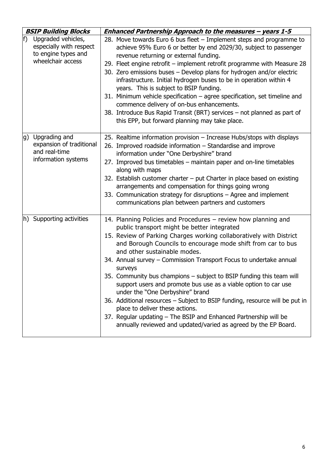| <b>BSIP Building Blocks</b>                                                                     | Enhanced Partnership Approach to the measures - years 1-5                                                                                                                                                                                                                                                                                                                                                                                                                                                                                                                                                                                                                                                                                                                                                     |
|-------------------------------------------------------------------------------------------------|---------------------------------------------------------------------------------------------------------------------------------------------------------------------------------------------------------------------------------------------------------------------------------------------------------------------------------------------------------------------------------------------------------------------------------------------------------------------------------------------------------------------------------------------------------------------------------------------------------------------------------------------------------------------------------------------------------------------------------------------------------------------------------------------------------------|
| f)<br>Upgraded vehicles,<br>especially with respect<br>to engine types and<br>wheelchair access | 28. Move towards Euro 6 bus fleet - Implement steps and programme to<br>achieve 95% Euro 6 or better by end 2029/30, subject to passenger<br>revenue returning or external funding.<br>29. Fleet engine retrofit – implement retrofit programme with Measure 28<br>30. Zero emissions buses - Develop plans for hydrogen and/or electric<br>infrastructure. Initial hydrogen buses to be in operation within 4<br>years. This is subject to BSIP funding.<br>31. Minimum vehicle specification - agree specification, set timeline and<br>commence delivery of on-bus enhancements.<br>38. Introduce Bus Rapid Transit (BRT) services - not planned as part of<br>this EPP, but forward planning may take place.                                                                                              |
| Upgrading and<br>g)<br>expansion of traditional<br>and real-time<br>information systems         | 25. Realtime information provision – Increase Hubs/stops with displays<br>26. Improved roadside information - Standardise and improve<br>information under "One Derbyshire" brand<br>27. Improved bus timetables - maintain paper and on-line timetables<br>along with maps<br>32. Establish customer charter - put Charter in place based on existing<br>arrangements and compensation for things going wrong<br>33. Communication strategy for disruptions - Agree and implement<br>communications plan between partners and customers                                                                                                                                                                                                                                                                      |
| h) Supporting activities                                                                        | 14. Planning Policies and Procedures - review how planning and<br>public transport might be better integrated<br>15. Review of Parking Charges working collaboratively with District<br>and Borough Councils to encourage mode shift from car to bus<br>and other sustainable modes.<br>34. Annual survey - Commission Transport Focus to undertake annual<br>surveys<br>35. Community bus champions - subject to BSIP funding this team will<br>support users and promote bus use as a viable option to car use<br>under the "One Derbyshire" brand<br>36. Additional resources - Subject to BSIP funding, resource will be put in<br>place to deliver these actions.<br>37. Regular updating - The BSIP and Enhanced Partnership will be<br>annually reviewed and updated/varied as agreed by the EP Board. |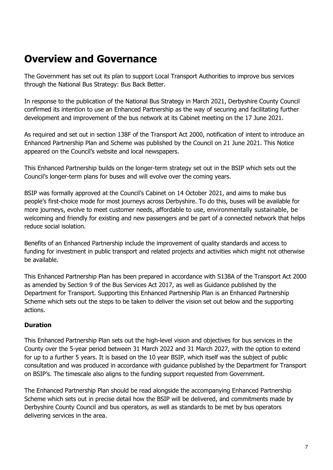## **Overview and Governance**

The Government has set out its plan to support Local Transport Authorities to improve bus services through the National Bus Strategy: Bus Back Better.

In response to the publication of the National Bus Strategy in March 2021, Derbyshire County Council confirmed its intention to use an Enhanced Partnership as the way of securing and facilitating further development and improvement of the bus network at its Cabinet meeting on the 17 June 2021.

As required and set out in section 138F of the Transport Act 2000, notification of intent to introduce an Enhanced Partnership Plan and Scheme was published by the Council on 21 June 2021. This Notice appeared on the Council's website and local newspapers.

This Enhanced Partnership builds on the longer-term strategy set out in the BSIP which sets out the Council's longer-term plans for buses and will evolve over the coming years.

BSIP was formally approved at the Council's Cabinet on 14 October 2021, and aims to make bus people's first-choice mode for most journeys across Derbyshire. To do this, buses will be available for more journeys, evolve to meet customer needs, affordable to use, environmentally sustainable, be welcoming and friendly for existing and new passengers and be part of a connected network that helps reduce social isolation.

Benefits of an Enhanced Partnership include the improvement of quality standards and access to funding for investment in public transport and related projects and activities which might not otherwise be available.

This Enhanced Partnership Plan has been prepared in accordance with S138A of the Transport Act 2000 as amended by Section 9 of the Bus Services Act 2017, as well as Guidance published by the Department for Transport. Supporting this Enhanced Partnership Plan is an Enhanced Partnership Scheme which sets out the steps to be taken to deliver the vision set out below and the supporting actions.

#### **Duration**

This Enhanced Partnership Plan sets out the high-level vision and objectives for bus services in the County over the 5-year period between 31 March 2022 and 31 March 2027, with the option to extend for up to a further 5 years. It is based on the 10 year BSIP, which itself was the subject of public consultation and was produced in accordance with guidance published by the Department for Transport on BSIP's. The timescale also aligns to the funding support requested from Government.

The Enhanced Partnership Plan should be read alongside the accompanying Enhanced Partnership Scheme which sets out in precise detail how the BSIP will be delivered, and commitments made by Derbyshire County Council and bus operators, as well as standards to be met by bus operators delivering services in the area.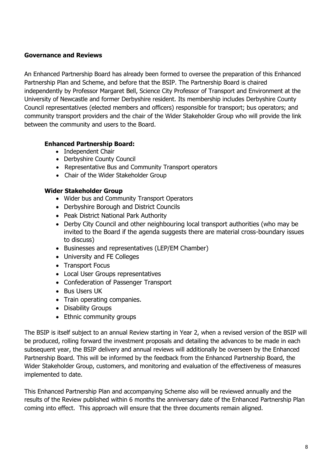#### **Governance and Reviews**

An Enhanced Partnership Board has already been formed to oversee the preparation of this Enhanced Partnership Plan and Scheme, and before that the BSIP. The Partnership Board is chaired independently by Professor Margaret Bell, Science City Professor of Transport and Environment at the University of Newcastle and former Derbyshire resident. Its membership includes Derbyshire County Council representatives (elected members and officers) responsible for transport; bus operators; and community transport providers and the chair of the Wider Stakeholder Group who will provide the link between the community and users to the Board.

#### **Enhanced Partnership Board:**

- Independent Chair
- Derbyshire County Council
- Representative Bus and Community Transport operators
- Chair of the Wider Stakeholder Group

#### **Wider Stakeholder Group**

- Wider bus and Community Transport Operators
- Derbyshire Borough and District Councils
- Peak District National Park Authority
- Derby City Council and other neighbouring local transport authorities (who may be invited to the Board if the agenda suggests there are material cross-boundary issues to discuss)
- Businesses and representatives (LEP/EM Chamber)
- University and FE Colleges
- Transport Focus
- Local User Groups representatives
- Confederation of Passenger Transport
- Bus Users UK
- Train operating companies.
- Disability Groups
- Ethnic community groups

The BSIP is itself subject to an annual Review starting in Year 2, when a revised version of the BSIP will be produced, rolling forward the investment proposals and detailing the advances to be made in each subsequent year, the BSIP delivery and annual reviews will additionally be overseen by the Enhanced Partnership Board. This will be informed by the feedback from the Enhanced Partnership Board, the Wider Stakeholder Group, customers, and monitoring and evaluation of the effectiveness of measures implemented to date.

This Enhanced Partnership Plan and accompanying Scheme also will be reviewed annually and the results of the Review published within 6 months the anniversary date of the Enhanced Partnership Plan coming into effect. This approach will ensure that the three documents remain aligned.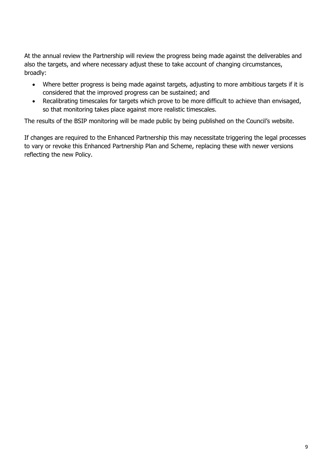At the annual review the Partnership will review the progress being made against the deliverables and also the targets, and where necessary adjust these to take account of changing circumstances, broadly:

- Where better progress is being made against targets, adjusting to more ambitious targets if it is considered that the improved progress can be sustained; and
- Recalibrating timescales for targets which prove to be more difficult to achieve than envisaged, so that monitoring takes place against more realistic timescales.

The results of the BSIP monitoring will be made public by being published on the Council's website.

If changes are required to the Enhanced Partnership this may necessitate triggering the legal processes to vary or revoke this Enhanced Partnership Plan and Scheme, replacing these with newer versions reflecting the new Policy.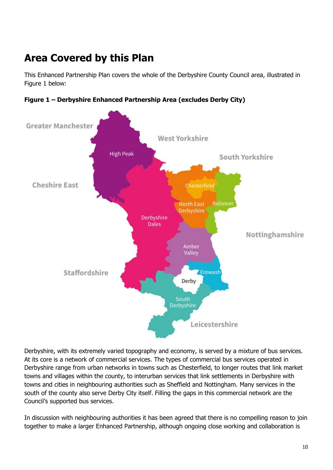# **Area Covered by this Plan**

This Enhanced Partnership Plan covers the whole of the Derbyshire County Council area, illustrated in Figure 1 below:



**Figure 1 – Derbyshire Enhanced Partnership Area (excludes Derby City)**

Derbyshire, with its extremely varied topography and economy, is served by a mixture of bus services. At its core is a network of commercial services. The types of commercial bus services operated in Derbyshire range from urban networks in towns such as Chesterfield, to longer routes that link market towns and villages within the county, to interurban services that link settlements in Derbyshire with towns and cities in neighbouring authorities such as Sheffield and Nottingham. Many services in the south of the county also serve Derby City itself. Filling the gaps in this commercial network are the Council's supported bus services.

In discussion with neighbouring authorities it has been agreed that there is no compelling reason to join together to make a larger Enhanced Partnership, although ongoing close working and collaboration is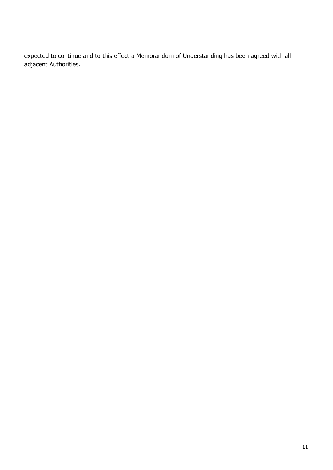expected to continue and to this effect a Memorandum of Understanding has been agreed with all adjacent Authorities.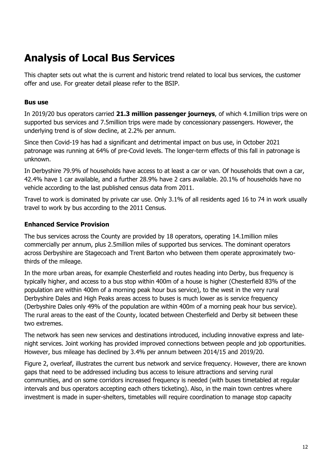## **Analysis of Local Bus Services**

This chapter sets out what the is current and historic trend related to local bus services, the customer offer and use. For greater detail please refer to the BSIP.

#### **Bus use**

In 2019/20 bus operators carried **21.3 million passenger journeys**, of which 4.1million trips were on supported bus services and 7.5million trips were made by concessionary passengers. However, the underlying trend is of slow decline, at 2.2% per annum.

Since then Covid-19 has had a significant and detrimental impact on bus use, in October 2021 patronage was running at 64% of pre-Covid levels. The longer-term effects of this fall in patronage is unknown.

In Derbyshire 79.9% of households have access to at least a car or van. Of households that own a car, 42.4% have 1 car available, and a further 28.9% have 2 cars available. 20.1% of households have no vehicle according to the last published census data from 2011.

Travel to work is dominated by private car use. Only 3.1% of all residents aged 16 to 74 in work usually travel to work by bus according to the 2011 Census.

#### **Enhanced Service Provision**

The bus services across the County are provided by 18 operators, operating 14.1million miles commercially per annum, plus 2.5million miles of supported bus services. The dominant operators across Derbyshire are Stagecoach and Trent Barton who between them operate approximately twothirds of the mileage.

In the more urban areas, for example Chesterfield and routes heading into Derby, bus frequency is typically higher, and access to a bus stop within 400m of a house is higher (Chesterfield 83% of the population are within 400m of a morning peak hour bus service), to the west in the very rural Derbyshire Dales and High Peaks areas access to buses is much lower as is service frequency (Derbyshire Dales only 49% of the population are within 400m of a morning peak hour bus service). The rural areas to the east of the County, located between Chesterfield and Derby sit between these two extremes.

The network has seen new services and destinations introduced, including innovative express and latenight services. Joint working has provided improved connections between people and job opportunities. However, bus mileage has declined by 3.4% per annum between 2014/15 and 2019/20.

Figure 2, overleaf, illustrates the current bus network and service frequency. However, there are known gaps that need to be addressed including bus access to leisure attractions and serving rural communities, and on some corridors increased frequency is needed (with buses timetabled at regular intervals and bus operators accepting each others ticketing). Also, in the main town centres where investment is made in super-shelters, timetables will require coordination to manage stop capacity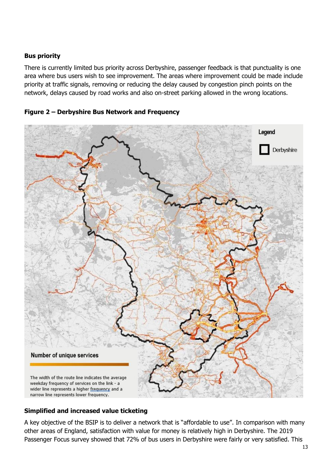#### **Bus priority**

There is currently limited bus priority across Derbyshire, passenger feedback is that punctuality is one area where bus users wish to see improvement. The areas where improvement could be made include priority at traffic signals, removing or reducing the delay caused by congestion pinch points on the network, delays caused by road works and also on-street parking allowed in the wrong locations.





#### **Simplified and increased value ticketing**

A key objective of the BSIP is to deliver a network that is "affordable to use". In comparison with many other areas of England, satisfaction with value for money is relatively high in Derbyshire. The 2019 Passenger Focus survey showed that 72% of bus users in Derbyshire were fairly or very satisfied. This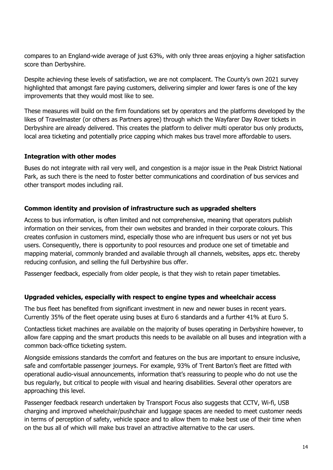compares to an England-wide average of just 63%, with only three areas enjoying a higher satisfaction score than Derbyshire.

Despite achieving these levels of satisfaction, we are not complacent. The County's own 2021 survey highlighted that amongst fare paying customers, delivering simpler and lower fares is one of the key improvements that they would most like to see.

These measures will build on the firm foundations set by operators and the platforms developed by the likes of Travelmaster (or others as Partners agree) through which the Wayfarer Day Rover tickets in Derbyshire are already delivered. This creates the platform to deliver multi operator bus only products, local area ticketing and potentially price capping which makes bus travel more affordable to users.

#### **Integration with other modes**

Buses do not integrate with rail very well, and congestion is a major issue in the Peak District National Park, as such there is the need to foster better communications and coordination of bus services and other transport modes including rail.

#### **Common identity and provision of infrastructure such as upgraded shelters**

Access to bus information, is often limited and not comprehensive, meaning that operators publish information on their services, from their own websites and branded in their corporate colours. This creates confusion in customers mind, especially those who are infrequent bus users or not yet bus users. Consequently, there is opportunity to pool resources and produce one set of timetable and mapping material, commonly branded and available through all channels, websites, apps etc. thereby reducing confusion, and selling the full Derbyshire bus offer.

Passenger feedback, especially from older people, is that they wish to retain paper timetables.

#### **Upgraded vehicles, especially with respect to engine types and wheelchair access**

The bus fleet has benefited from significant investment in new and newer buses in recent years. Currently 35% of the fleet operate using buses at Euro 6 standards and a further 41% at Euro 5.

Contactless ticket machines are available on the majority of buses operating in Derbyshire however, to allow fare capping and the smart products this needs to be available on all buses and integration with a common back-office ticketing system.

Alongside emissions standards the comfort and features on the bus are important to ensure inclusive, safe and comfortable passenger journeys. For example, 93% of Trent Barton's fleet are fitted with operational audio-visual announcements, information that's reassuring to people who do not use the bus regularly, but critical to people with visual and hearing disabilities. Several other operators are approaching this level.

Passenger feedback research undertaken by Transport Focus also suggests that CCTV, Wi-fi, USB charging and improved wheelchair/pushchair and luggage spaces are needed to meet customer needs in terms of perception of safety, vehicle space and to allow them to make best use of their time when on the bus all of which will make bus travel an attractive alternative to the car users.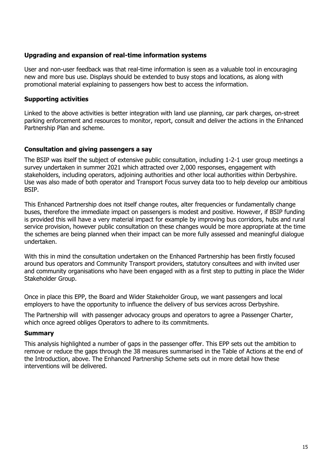#### **Upgrading and expansion of real-time information systems**

User and non-user feedback was that real-time information is seen as a valuable tool in encouraging new and more bus use. Displays should be extended to busy stops and locations, as along with promotional material explaining to passengers how best to access the information.

#### **Supporting activities**

Linked to the above activities is better integration with land use planning, car park charges, on-street parking enforcement and resources to monitor, report, consult and deliver the actions in the Enhanced Partnership Plan and scheme.

#### **Consultation and giving passengers a say**

The BSIP was itself the subject of extensive public consultation, including 1-2-1 user group meetings a survey undertaken in summer 2021 which attracted over 2,000 responses, engagement with stakeholders, including operators, adjoining authorities and other local authorities within Derbyshire. Use was also made of both operator and Transport Focus survey data too to help develop our ambitious BSIP.

This Enhanced Partnership does not itself change routes, alter frequencies or fundamentally change buses, therefore the immediate impact on passengers is modest and positive. However, if BSIP funding is provided this will have a very material impact for example by improving bus corridors, hubs and rural service provision, however public consultation on these changes would be more appropriate at the time the schemes are being planned when their impact can be more fully assessed and meaningful dialogue undertaken.

With this in mind the consultation undertaken on the Enhanced Partnership has been firstly focused around bus operators and Community Transport providers, statutory consultees and with invited user and community organisations who have been engaged with as a first step to putting in place the Wider Stakeholder Group.

Once in place this EPP, the Board and Wider Stakeholder Group, we want passengers and local employers to have the opportunity to influence the delivery of bus services across Derbyshire.

The Partnership will with passenger advocacy groups and operators to agree a Passenger Charter, which once agreed obliges Operators to adhere to its commitments.

#### **Summary**

This analysis highlighted a number of gaps in the passenger offer. This EPP sets out the ambition to remove or reduce the gaps through the 38 measures summarised in the Table of Actions at the end of the Introduction, above. The Enhanced Partnership Scheme sets out in more detail how these interventions will be delivered.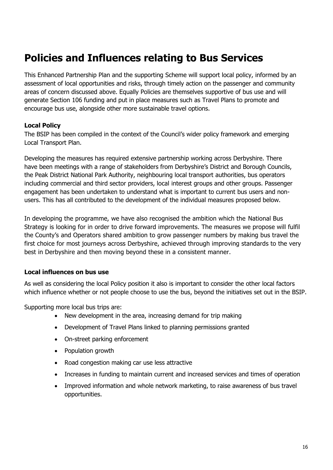## **Policies and Influences relating to Bus Services**

This Enhanced Partnership Plan and the supporting Scheme will support local policy, informed by an assessment of local opportunities and risks, through timely action on the passenger and community areas of concern discussed above. Equally Policies are themselves supportive of bus use and will generate Section 106 funding and put in place measures such as Travel Plans to promote and encourage bus use, alongside other more sustainable travel options.

#### **Local Policy**

The BSIP has been compiled in the context of the Council's wider policy framework and emerging Local Transport Plan.

Developing the measures has required extensive partnership working across Derbyshire. There have been meetings with a range of stakeholders from Derbyshire's District and Borough Councils, the Peak District National Park Authority, neighbouring local transport authorities, bus operators including commercial and third sector providers, local interest groups and other groups. Passenger engagement has been undertaken to understand what is important to current bus users and nonusers. This has all contributed to the development of the individual measures proposed below.

In developing the programme, we have also recognised the ambition which the National Bus Strategy is looking for in order to drive forward improvements. The measures we propose will fulfil the County's and Operators shared ambition to grow passenger numbers by making bus travel the first choice for most journeys across Derbyshire, achieved through improving standards to the very best in Derbyshire and then moving beyond these in a consistent manner.

#### **Local influences on bus use**

As well as considering the local Policy position it also is important to consider the other local factors which influence whether or not people choose to use the bus, beyond the initiatives set out in the BSIP.

Supporting more local bus trips are:

- New development in the area, increasing demand for trip making
- Development of Travel Plans linked to planning permissions granted
- On-street parking enforcement
- Population growth
- Road congestion making car use less attractive
- Increases in funding to maintain current and increased services and times of operation
- Improved information and whole network marketing, to raise awareness of bus travel opportunities.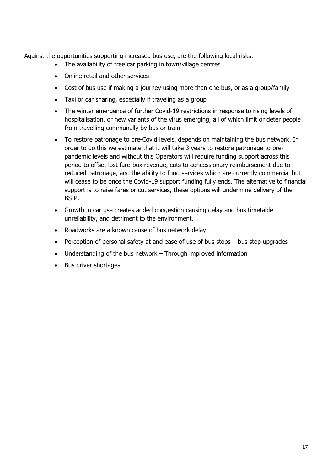Against the opportunities supporting increased bus use, are the following local risks:

- The availability of free car parking in town/village centres
- Online retail and other services
- Cost of bus use if making a journey using more than one bus, or as a group/family
- Taxi or car sharing, especially if traveling as a group
- The winter emergence of further Covid-19 restrictions in response to rising levels of hospitalisation, or new variants of the virus emerging, all of which limit or deter people from travelling communally by bus or train
- To restore patronage to pre-Covid levels, depends on maintaining the bus network. In order to do this we estimate that it will take 3 years to restore patronage to prepandemic levels and without this Operators will require funding support across this period to offset lost fare-box revenue, cuts to concessionary reimbursement due to reduced patronage, and the ability to fund services which are currently commercial but will cease to be once the Covid-19 support funding fully ends. The alternative to financial support is to raise fares or cut services, these options will undermine delivery of the BSIP.
- Growth in car use creates added congestion causing delay and bus timetable unreliability, and detriment to the environment.
- Roadworks are a known cause of bus network delay
- Perception of personal safety at and ease of use of bus stops bus stop upgrades
- Understanding of the bus network Through improved information
- Bus driver shortages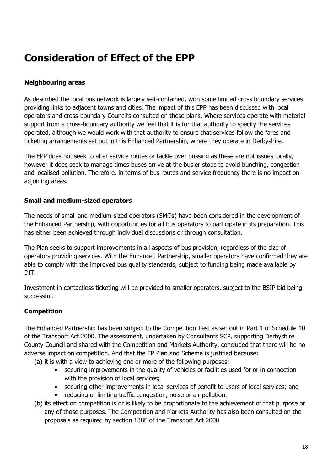## **Consideration of Effect of the EPP**

#### **Neighbouring areas**

As described the local bus network is largely self-contained, with some limited cross boundary services providing links to adjacent towns and cities. The impact of this EPP has been discussed with local operators and cross-boundary Council's consulted on these plans. Where services operate with material support from a cross-boundary authority we feel that it is for that authority to specify the services operated, although we would work with that authority to ensure that services follow the fares and ticketing arrangements set out in this Enhanced Partnership, where they operate in Derbyshire.

The EPP does not seek to alter service routes or tackle over bussing as these are not issues locally, however it does seek to manage times buses arrive at the busier stops to avoid bunching, congestion and localised pollution. Therefore, in terms of bus routes and service frequency there is no impact on adioining areas.

#### **Small and medium-sized operators**

The needs of small and medium-sized operators (SMOs) have been considered in the development of the Enhanced Partnership, with opportunities for all bus operators to participate in its preparation. This has either been achieved through individual discussions or through consultation.

The Plan seeks to support improvements in all aspects of bus provision, regardless of the size of operators providing services. With the Enhanced Partnership, smaller operators have confirmed they are able to comply with the improved bus quality standards, subject to funding being made available by DfT.

Investment in contactless ticketing will be provided to smaller operators, subject to the BSIP bid being successful.

#### **Competition**

The Enhanced Partnership has been subject to the Competition Test as set out in Part 1 of Schedule 10 of the Transport Act 2000. The assessment, undertaken by Consultants SCP, supporting Derbyshire County Council and shared with the Competition and Markets Authority, concluded that there will be no adverse impact on competition. And that the EP Plan and Scheme is justified because:

(a) it is with a view to achieving one or more of the following purposes:

- securing improvements in the quality of vehicles or facilities used for or in connection with the provision of local services;
- securing other improvements in local services of benefit to users of local services; and
- reducing or limiting traffic congestion, noise or air pollution.
- (b) its effect on competition is or is likely to be proportionate to the achievement of that purpose or any of those purposes. The Competition and Markets Authority has also been consulted on the proposals as required by section 138F of the Transport Act 2000